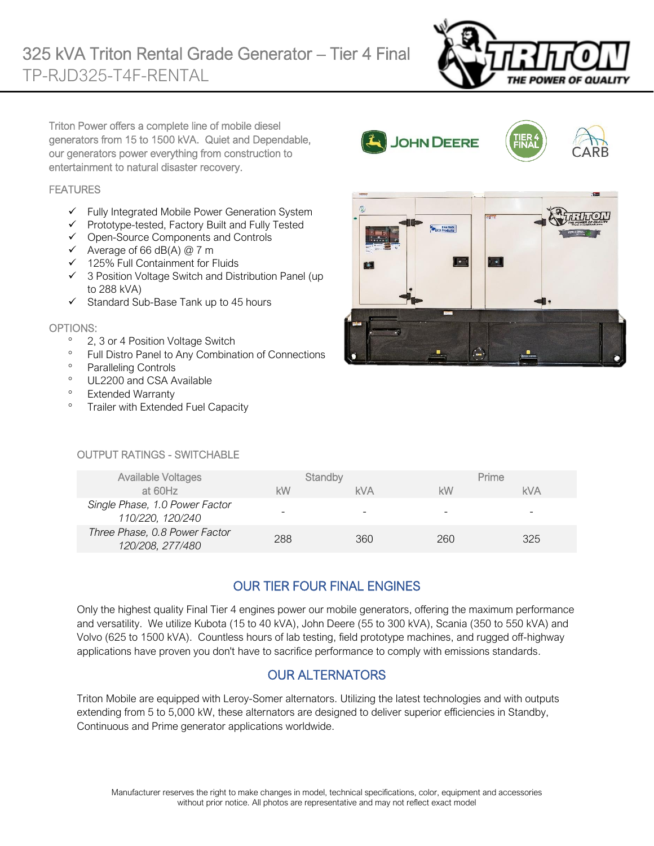

Triton Power offers a complete line of mobile diesel generators from 15 to 1500 kVA. Quiet and Dependable, our generators power everything from construction to entertainment to natural disaster recovery.

#### **FEATURES**

- $\checkmark$  Fully Integrated Mobile Power Generation System
- ✓ Prototype-tested, Factory Built and Fully Tested
- $\checkmark$  Open-Source Components and Controls
- $\checkmark$  Average of 66 dB(A) @ 7 m
- ✓ 125% Full Containment for Fluids
- ✓ 3 Position Voltage Switch and Distribution Panel (up to 288 kVA)
- ✓ Standard Sub-Base Tank up to 45 hours

#### OPTIONS:

- <sup>o</sup> 2, 3 or 4 Position Voltage Switch
- <sup>o</sup> Full Distro Panel to Any Combination of Connections
- <sup>o</sup> Paralleling Controls
- <sup>o</sup> UL2200 and CSA Available
- <sup>o</sup> Extended Warranty
- <sup>o</sup> Trailer with Extended Fuel Capacity



JOHN DEERE

#### OUTPUT RATINGS - SWITCHABLE

| <b>Available Voltages</b>                          | Standby |     | Prime |            |
|----------------------------------------------------|---------|-----|-------|------------|
| at 60Hz                                            | kW      | kVA | kW    | <b>kVA</b> |
| Single Phase, 1.0 Power Factor<br>110/220, 120/240 |         |     | -     | -          |
| Three Phase, 0.8 Power Factor<br>120/208, 277/480  | 288     | 360 | 260   | 325        |

## OUR TIER FOUR FINAL ENGINES

Only the highest quality Final Tier 4 engines power our mobile generators, offering the maximum performance and versatility. We utilize Kubota (15 to 40 kVA), John Deere (55 to 300 kVA), Scania (350 to 550 kVA) and Volvo (625 to 1500 kVA). Countless hours of lab testing, field prototype machines, and rugged off-highway applications have proven you don't have to sacrifice performance to comply with emissions standards.

#### OUR ALTERNATORS

Triton Mobile are equipped with Leroy-Somer alternators. Utilizing the latest technologies and with outputs extending from 5 to 5,000 kW, these alternators are designed to deliver superior efficiencies in Standby, Continuous and Prime generator applications worldwide.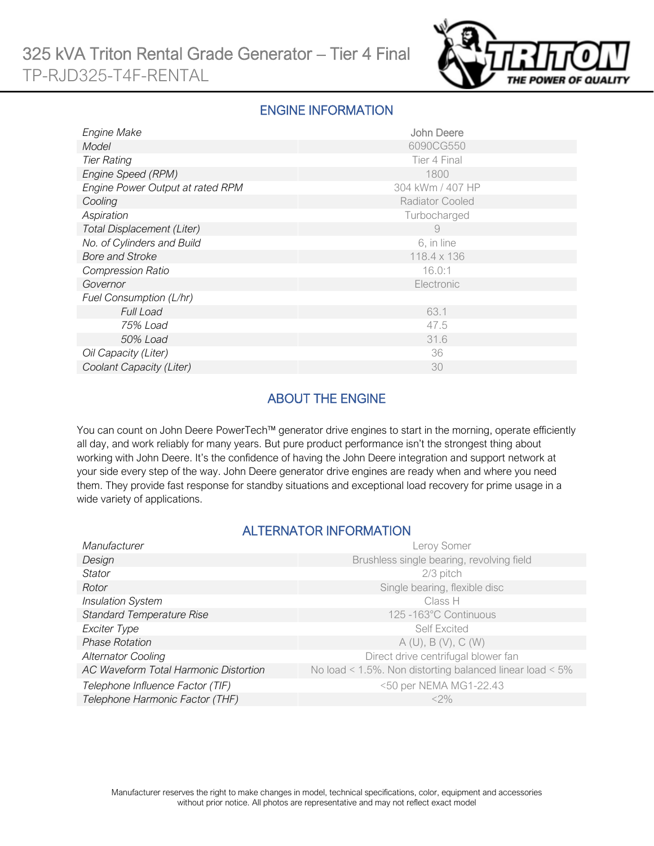

#### ENGINE INFORMATION

| <b>Engine Make</b>               | <b>John Deere</b>      |
|----------------------------------|------------------------|
| Model                            | 6090CG550              |
| <b>Tier Rating</b>               | Tier 4 Final           |
| Engine Speed (RPM)               | 1800                   |
| Engine Power Output at rated RPM | 304 kWm / 407 HP       |
| Cooling                          | <b>Radiator Cooled</b> |
| Aspiration                       | Turbocharged           |
| Total Displacement (Liter)       | 9                      |
| No. of Cylinders and Build       | 6, in line             |
| <b>Bore and Stroke</b>           | 118.4 x 136            |
| <b>Compression Ratio</b>         | 16.0:1                 |
| Governor                         | Electronic             |
| Fuel Consumption (L/hr)          |                        |
| <b>Full Load</b>                 | 63.1                   |
| 75% Load                         | 47.5                   |
| 50% Load                         | 31.6                   |
| Oil Capacity (Liter)             | 36                     |
| Coolant Capacity (Liter)         | 30                     |

## ABOUT THE ENGINE

You can count on John Deere PowerTech™ generator drive engines to start in the morning, operate efficiently all day, and work reliably for many years. But pure product performance isn't the strongest thing about working with John Deere. It's the confidence of having the John Deere integration and support network at your side every step of the way. John Deere generator drive engines are ready when and where you need them. They provide fast response for standby situations and exceptional load recovery for prime usage in a wide variety of applications.

#### ALTERNATOR INFORMATION

| Manufacturer                          | Leroy Somer                                                     |
|---------------------------------------|-----------------------------------------------------------------|
| Design                                | Brushless single bearing, revolving field                       |
| Stator                                | 2/3 pitch                                                       |
| Rotor                                 | Single bearing, flexible disc                                   |
| <b>Insulation System</b>              | Class H                                                         |
| <b>Standard Temperature Rise</b>      | 125 -163°C Continuous                                           |
| Exciter Type                          | <b>Self Excited</b>                                             |
| <b>Phase Rotation</b>                 | A(U), B(V), C(W)                                                |
| <b>Alternator Cooling</b>             | Direct drive centrifugal blower fan                             |
| AC Waveform Total Harmonic Distortion | No load < $1.5\%$ . Non distorting balanced linear load < $5\%$ |
| Telephone Influence Factor (TIF)      | <50 per NEMA MG1-22.43                                          |
| Telephone Harmonic Factor (THF)       | $<$ 2%                                                          |
|                                       |                                                                 |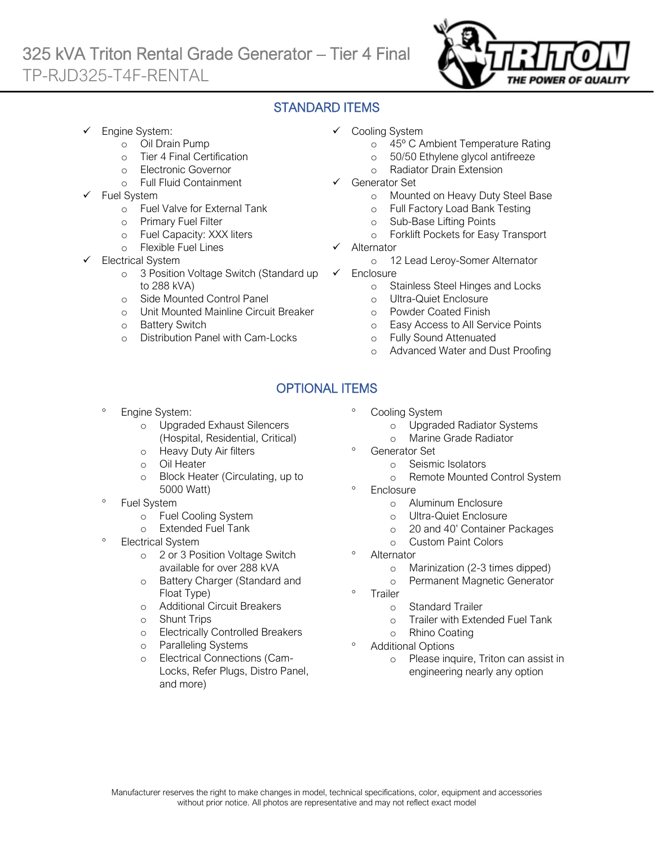# 325 kVA Triton Rental Grade Generator – Tier 4 Final TP-RJD325-T4F-RENTAL



## STANDARD ITEMS

- Engine System:
	- o Oil Drain Pump
	- o Tier 4 Final Certification
	- o Electronic Governor
	- o Full Fluid Containment
- Fuel System
	- o Fuel Valve for External Tank
	- o Primary Fuel Filter
	- o Fuel Capacity: XXX liters
	- o Flexible Fuel Lines
- **Electrical System** 
	- o 3 Position Voltage Switch (Standard up to 288 kVA)
	- o Side Mounted Control Panel
	- o Unit Mounted Mainline Circuit Breaker
	- o Battery Switch
	- o Distribution Panel with Cam-Locks
- ✓ Cooling System
	- o 45º C Ambient Temperature Rating
	- o 50/50 Ethylene glycol antifreeze
	- o Radiator Drain Extension
- Generator Set
	- o Mounted on Heavy Duty Steel Base
	- o Full Factory Load Bank Testing
	- o Sub-Base Lifting Points
	- o Forklift Pockets for Easy Transport
- **Alternator** 
	- o 12 Lead Leroy-Somer Alternator
- ✓ Enclosure
	- o Stainless Steel Hinges and Locks
	- o Ultra-Quiet Enclosure
	- o Powder Coated Finish
	- o Easy Access to All Service Points
	- o Fully Sound Attenuated
	- o Advanced Water and Dust Proofing

# OPTIONAL ITEMS

- Engine System:
	- o Upgraded Exhaust Silencers (Hospital, Residential, Critical)
	- o Heavy Duty Air filters
	- o Oil Heater
	- o Block Heater (Circulating, up to 5000 Watt)
- Fuel System
	- o Fuel Cooling System
	- o Extended Fuel Tank
- Electrical System
	- o 2 or 3 Position Voltage Switch available for over 288 kVA
	- o Battery Charger (Standard and Float Type)
	- o Additional Circuit Breakers
	- o Shunt Trips
	- o Electrically Controlled Breakers
	- o Paralleling Systems
	- o Electrical Connections (Cam-Locks, Refer Plugs, Distro Panel, and more)
- Cooling System
	- o Upgraded Radiator Systems
	- o Marine Grade Radiator
- Generator Set
	- o Seismic Isolators
	- o Remote Mounted Control System
- <sup>o</sup> Enclosure
	- o Aluminum Enclosure
	- o Ultra-Quiet Enclosure
	- o 20 and 40' Container Packages
	- o Custom Paint Colors
- **Alternator** 
	- o Marinization (2-3 times dipped)
	- o Permanent Magnetic Generator
- Trailer
	- o Standard Trailer
	- o Trailer with Extended Fuel Tank
	- o Rhino Coating
- Additional Options
	- o Please inquire, Triton can assist in engineering nearly any option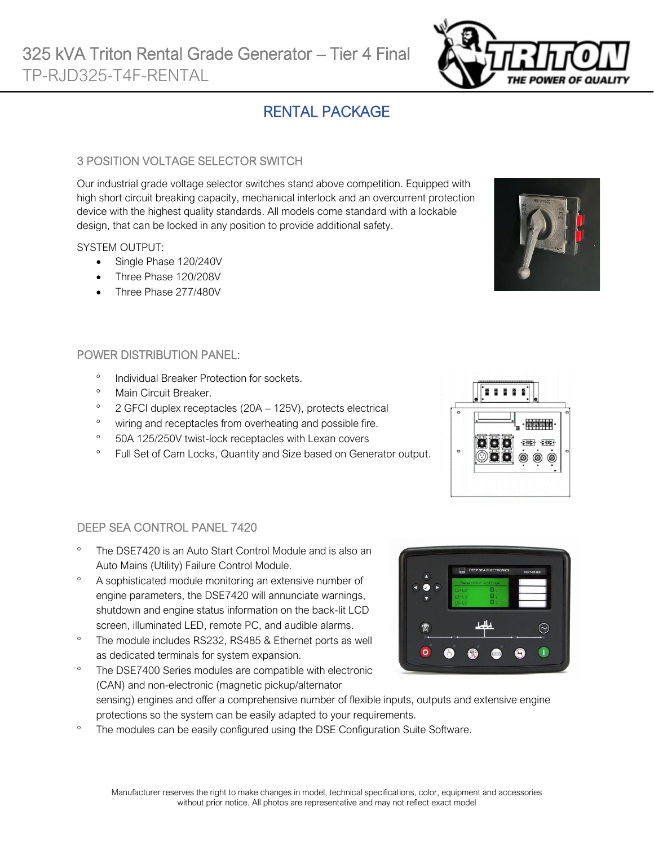# RENTAL PACKAGE

#### 3 POSITION VOLTAGE SELECTOR SWITCH

Our industrial grade voltage selector switches stand above competition. Equipped with high short circuit breaking capacity, mechanical interlock and an overcurrent protection device with the highest quality standards. All models come standard with a lockable design, that can be locked in any position to provide additional safety.

#### SYSTEM OUTPUT:

- Single Phase 120/240V
- Three Phase 120/208V
- Three Phase 277/480V

#### POWER DISTRIBUTION PANEL:

- <sup>o</sup> Individual Breaker Protection for sockets.
- Main Circuit Breaker.
- $\degree$  2 GFCI duplex receptacles (20A 125V), protects electrical
- <sup>o</sup> wiring and receptacles from overheating and possible fire.
- <sup>o</sup> 50A 125/250V twist-lock receptacles with Lexan covers
- <sup>o</sup> Full Set of Cam Locks, Quantity and Size based on Generator output.

## DEEP SEA CONTROL PANEL 7420

- The DSE7420 is an Auto Start Control Module and is also an Auto Mains (Utility) Failure Control Module.
- A sophisticated module monitoring an extensive number of engine parameters, the DSE7420 will annunciate warnings, shutdown and engine status information on the back-lit LCD screen, illuminated LED, remote PC, and audible alarms.
- <sup>o</sup> The module includes RS232, RS485 & Ethernet ports as well as dedicated terminals for system expansion.

The DSE7400 Series modules are compatible with electronic

- (CAN) and non-electronic (magnetic pickup/alternator sensing) engines and offer a comprehensive number of flexible inputs, outputs and extensive engine protections so the system can be easily adapted to your requirements.
- <sup>o</sup> The modules can be easily configured using the DSE Configuration Suite Software.